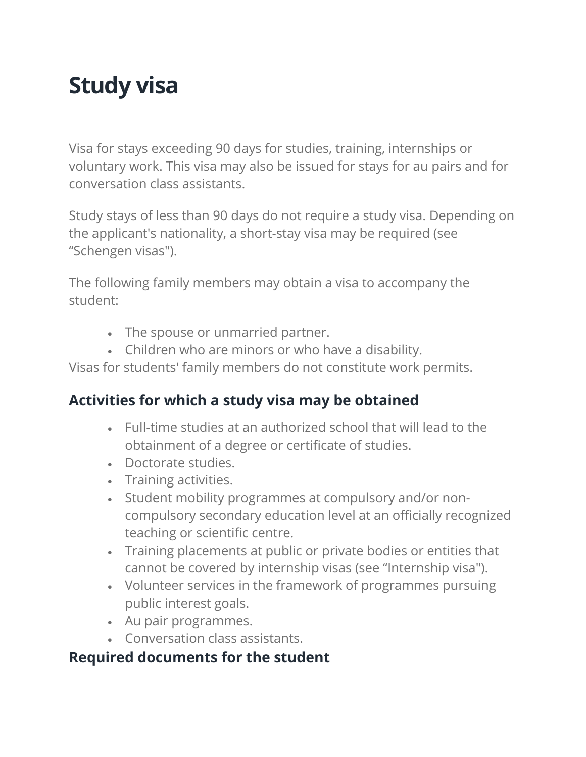# **Study visa**

Visa for stays exceeding 90 days for studies, training, internships or voluntary work. This visa may also be issued for stays for au pairs and for conversation class assistants.

Study stays of less than 90 days do not require a study visa. Depending on the applicant's nationality, a short-stay visa may be required (see "Schengen visas").

The following family members may obtain a visa to accompany the student:

- The spouse or unmarried partner.
- Children who are minors or who have a disability.

Visas for students' family members do not constitute work permits.

### **Activities for which a study visa may be obtained**

- Full-time studies at an authorized school that will lead to the obtainment of a degree or certificate of studies.
- Doctorate studies.
- Training activities.
- Student mobility programmes at compulsory and/or noncompulsory secondary education level at an officially recognized teaching or scientific centre.
- Training placements at public or private bodies or entities that cannot be covered by internship visas (see "Internship visa").
- Volunteer services in the framework of programmes pursuing public interest goals.
- Au pair programmes.
- Conversation class assistants.

### **Required documents for the student**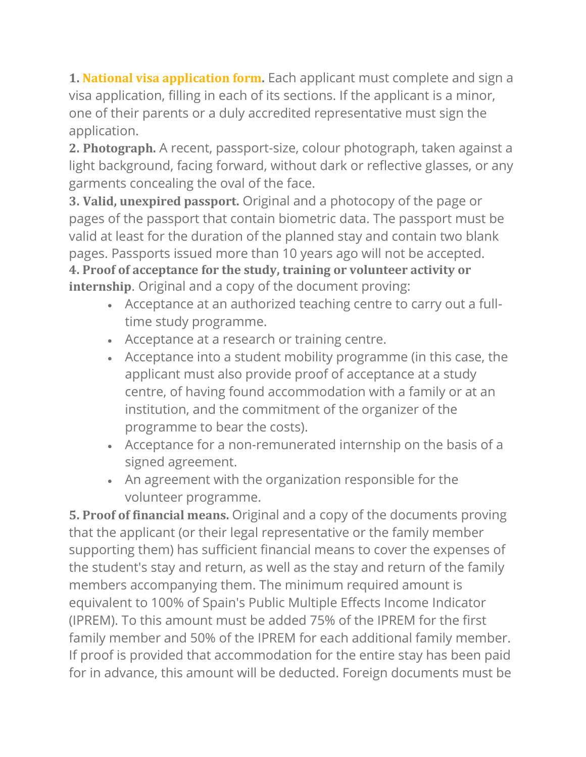**1. National visa [application](https://www.exteriores.gob.es/en/EmbajadasConsulados/Documents/Consular/20210611-Formulario%20nacional%20espa%c3%b1ol-ingl%c3%a9s.pdf) form.** Each applicant must complete and sign a visa application, filling in each of its sections. If the applicant is a minor, one of their parents or a duly accredited representative must sign the application.

**2. Photograph.** A recent, passport-size, colour photograph, taken against a light background, facing forward, without dark or reflective glasses, or any garments concealing the oval of the face.

**3. Valid, unexpired passport.** Original and a photocopy of the page or pages of the passport that contain biometric data. The passport must be valid at least for the duration of the planned stay and contain two blank pages. Passports issued more than 10 years ago will not be accepted. **4. Proof of acceptance for the study, training or volunteer activity or internship**. Original and a copy of the document proving:

- Acceptance at an authorized teaching centre to carry out a fulltime study programme.
- Acceptance at a research or training centre.
- Acceptance into a student mobility programme (in this case, the applicant must also provide proof of acceptance at a study centre, of having found accommodation with a family or at an institution, and the commitment of the organizer of the programme to bear the costs).
- Acceptance for a non-remunerated internship on the basis of a signed agreement.
- An agreement with the organization responsible for the volunteer programme.

**5. Proof of financial means.** Original and a copy of the documents proving that the applicant (or their legal representative or the family member supporting them) has sufficient financial means to cover the expenses of the student's stay and return, as well as the stay and return of the family members accompanying them. The minimum required amount is equivalent to 100% of Spain's Public Multiple Effects Income Indicator (IPREM). To this amount must be added 75% of the IPREM for the first family member and 50% of the IPREM for each additional family member. If proof is provided that accommodation for the entire stay has been paid for in advance, this amount will be deducted. Foreign documents must be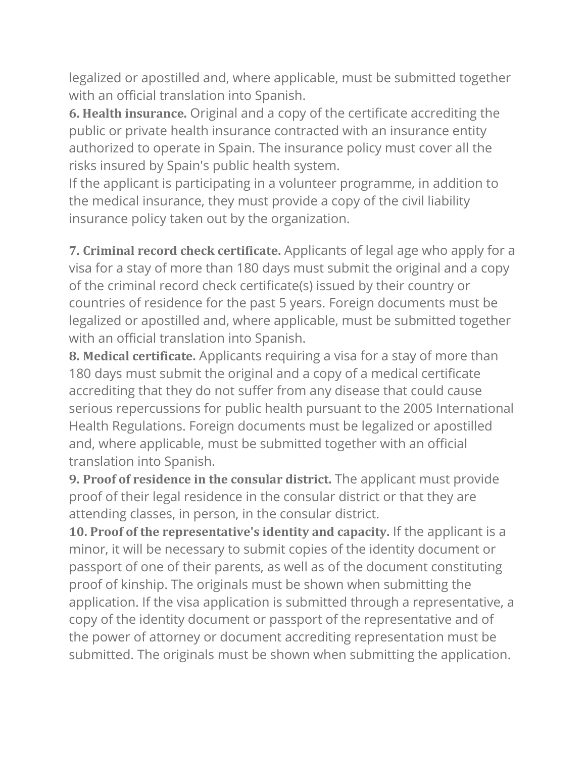legalized or apostilled and, where applicable, must be submitted together with an official translation into Spanish.

**6. Health insurance.** Original and a copy of the certificate accrediting the public or private health insurance contracted with an insurance entity authorized to operate in Spain. The insurance policy must cover all the risks insured by Spain's public health system.

If the applicant is participating in a volunteer programme, in addition to the medical insurance, they must provide a copy of the civil liability insurance policy taken out by the organization.

**7. Criminal record check certificate.** Applicants of legal age who apply for a visa for a stay of more than 180 days must submit the original and a copy of the criminal record check certificate(s) issued by their country or countries of residence for the past 5 years. Foreign documents must be legalized or apostilled and, where applicable, must be submitted together with an official translation into Spanish.

**8. Medical certificate.** Applicants requiring a visa for a stay of more than 180 days must submit the original and a copy of a medical certificate accrediting that they do not suffer from any disease that could cause serious repercussions for public health pursuant to the 2005 International Health Regulations. Foreign documents must be legalized or apostilled and, where applicable, must be submitted together with an official translation into Spanish.

**9. Proof of residence in the consular district.** The applicant must provide proof of their legal residence in the consular district or that they are attending classes, in person, in the consular district.

**10. Proof of the representative's identity and capacity.** If the applicant is a minor, it will be necessary to submit copies of the identity document or passport of one of their parents, as well as of the document constituting proof of kinship. The originals must be shown when submitting the application. If the visa application is submitted through a representative, a copy of the identity document or passport of the representative and of the power of attorney or document accrediting representation must be submitted. The originals must be shown when submitting the application.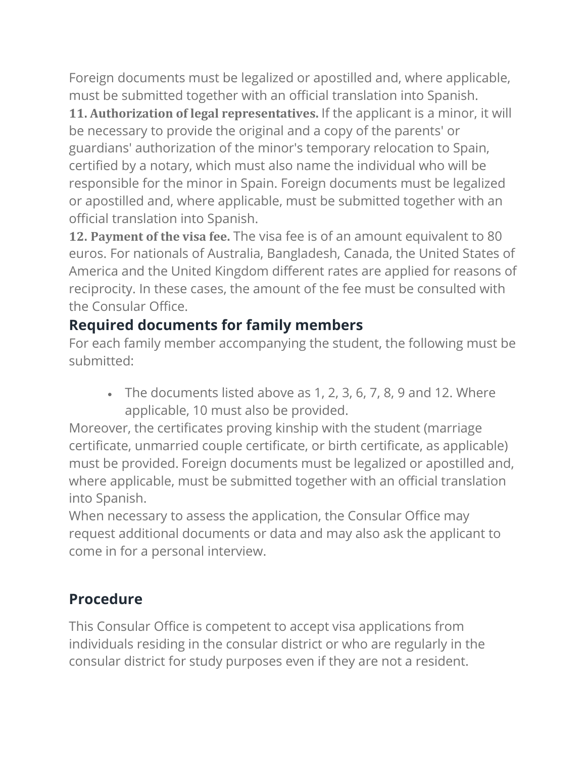Foreign documents must be legalized or apostilled and, where applicable, must be submitted together with an official translation into Spanish.

**11. Authorization of legal representatives.** If the applicant is a minor, it will be necessary to provide the original and a copy of the parents' or guardians' authorization of the minor's temporary relocation to Spain, certified by a notary, which must also name the individual who will be responsible for the minor in Spain. Foreign documents must be legalized or apostilled and, where applicable, must be submitted together with an official translation into Spanish.

**12. Payment of the visa fee.** The visa fee is of an amount equivalent to 80 euros. For nationals of Australia, Bangladesh, Canada, the United States of America and the United Kingdom different rates are applied for reasons of reciprocity. In these cases, the amount of the fee must be consulted with the Consular Office.

# **Required documents for family members**

For each family member accompanying the student, the following must be submitted:

• The documents listed above as 1, 2, 3, 6, 7, 8, 9 and 12. Where applicable, 10 must also be provided.

Moreover, the certificates proving kinship with the student (marriage certificate, unmarried couple certificate, or birth certificate, as applicable) must be provided. Foreign documents must be legalized or apostilled and, where applicable, must be submitted together with an official translation into Spanish.

When necessary to assess the application, the Consular Office may request additional documents or data and may also ask the applicant to come in for a personal interview.

# **Procedure**

This Consular Office is competent to accept visa applications from individuals residing in the consular district or who are regularly in the consular district for study purposes even if they are not a resident.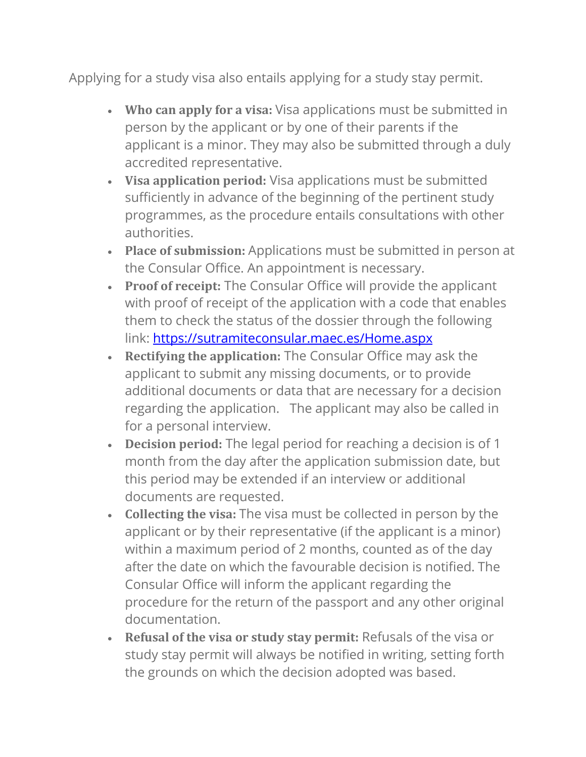Applying for a study visa also entails applying for a study stay permit.

- **Who can apply for a visa:** Visa applications must be submitted in person by the applicant or by one of their parents if the applicant is a minor. They may also be submitted through a duly accredited representative.
- **Visa application period:** Visa applications must be submitted sufficiently in advance of the beginning of the pertinent study programmes, as the procedure entails consultations with other authorities.
- **Place of submission:** Applications must be submitted in person at the Consular Office. An appointment is necessary.
- **Proof of receipt:** The Consular Office will provide the applicant with proof of receipt of the application with a code that enables them to check the status of the dossier through the following link: <https://sutramiteconsular.maec.es/Home.aspx>
- **Rectifying the application:** The Consular Office may ask the applicant to submit any missing documents, or to provide additional documents or data that are necessary for a decision regarding the application. The applicant may also be called in for a personal interview.
- **Decision period:** The legal period for reaching a decision is of 1 month from the day after the application submission date, but this period may be extended if an interview or additional documents are requested.
- **Collecting the visa:** The visa must be collected in person by the applicant or by their representative (if the applicant is a minor) within a maximum period of 2 months, counted as of the day after the date on which the favourable decision is notified. The Consular Office will inform the applicant regarding the procedure for the return of the passport and any other original documentation.
- **Refusal of the visa or study stay permit:** Refusals of the visa or study stay permit will always be notified in writing, setting forth the grounds on which the decision adopted was based.